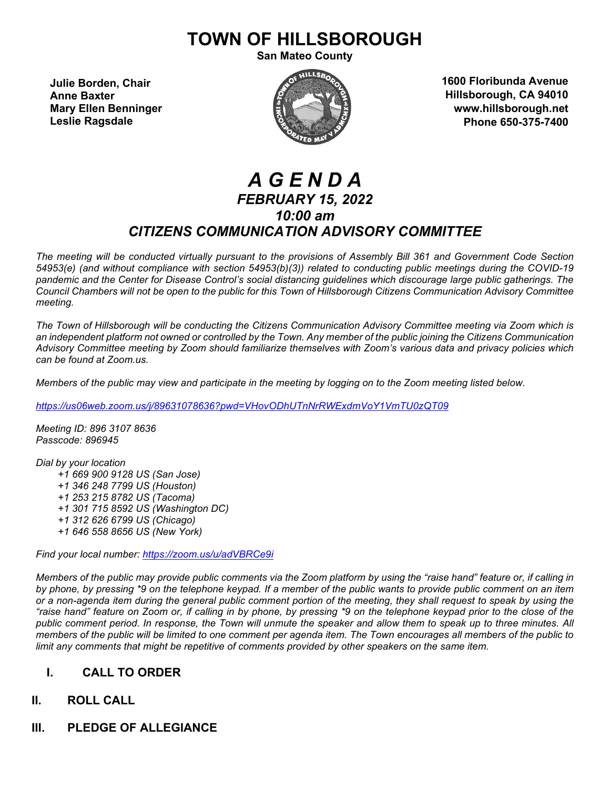# **TOWN OF HILLSBOROUGH**

**San Mateo County**

**Julie Borden, Chair Anne Baxter Mary Ellen Benninger Leslie Ragsdale**



**1600 Floribunda Avenue Hillsborough, CA 94010 www.hillsborough.net Phone 650-375-7400**

# *A G E N D A FEBRUARY 15, 2022 10:00 am CITIZENS COMMUNICATION ADVISORY COMMITTEE*

*The meeting will be conducted virtually pursuant to the provisions of Assembly Bill 361 and Government Code Section 54953(e) (and without compliance with section 54953(b)(3)) related to conducting public meetings during the COVID-19 pandemic and the Center for Disease Control's social distancing guidelines which discourage large public gatherings. The Council Chambers will not be open to the public for this Town of Hillsborough Citizens Communication Advisory Committee meeting.*

*The Town of Hillsborough will be conducting the Citizens Communication Advisory Committee meeting via Zoom which is an independent platform not owned or controlled by the Town. Any member of the public joining the Citizens Communication Advisory Committee meeting by Zoom should familiarize themselves with Zoom's various data and privacy policies which can be found at Zoom.us.*

*Members of the public may view and participate in the meeting by logging on to the Zoom meeting listed below.* 

*<https://us06web.zoom.us/j/89631078636?pwd=VHovODhUTnNrRWExdmVoY1VmTU0zQT09>*

*Meeting ID: 896 3107 8636 Passcode: 896945*

*Dial by your location +1 669 900 9128 US (San Jose) +1 346 248 7799 US (Houston) +1 253 215 8782 US (Tacoma) +1 301 715 8592 US (Washington DC) +1 312 626 6799 US (Chicago) +1 646 558 8656 US (New York)*

*Find your local number:<https://zoom.us/u/adVBRCe9i>*

*Members of the public may provide public comments via the Zoom platform by using the "raise hand" feature or, if calling in by phone, by pressing \*9 on the telephone keypad. If a member of the public wants to provide public comment on an item or a non-agenda item during the general public comment portion of the meeting, they shall request to speak by using the "raise hand" feature on Zoom or, if calling in by phone, by pressing \*9 on the telephone keypad prior to the close of the public comment period. In response, the Town will unmute the speaker and allow them to speak up to three minutes. All members of the public will be limited to one comment per agenda item. The Town encourages all members of the public to limit any comments that might be repetitive of comments provided by other speakers on the same item.*

# **I. CALL TO ORDER**

# **II. ROLL CALL**

**III. PLEDGE OF ALLEGIANCE**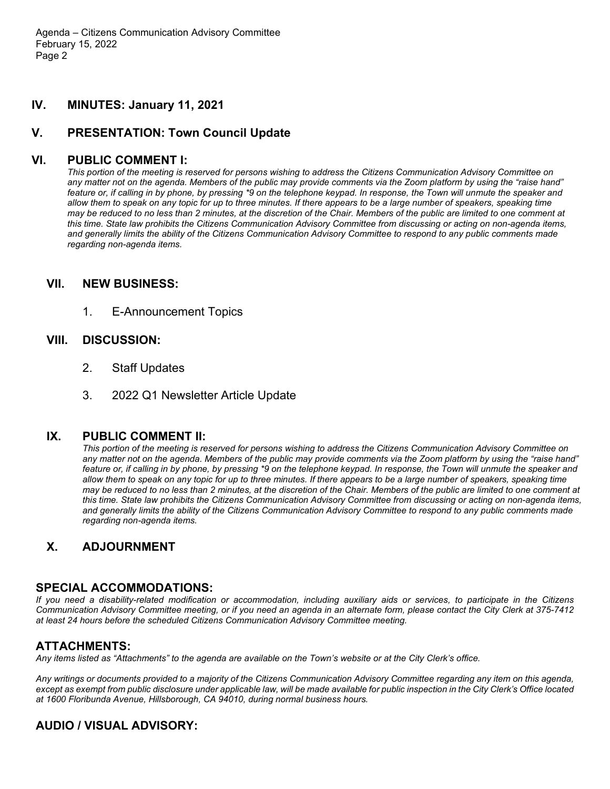Agenda – Citizens Communication Advisory Committee February 15, 2022 Page 2

### **IV. MINUTES: January 11, 2021**

## **V. PRESENTATION: Town Council Update**

#### **VI. PUBLIC COMMENT I:**

*This portion of the meeting is reserved for persons wishing to address the Citizens Communication Advisory Committee on any matter not on the agenda. Members of the public may provide comments via the Zoom platform by using the "raise hand" feature or, if calling in by phone, by pressing \*9 on the telephone keypad. In response, the Town will unmute the speaker and allow them to speak on any topic for up to three minutes. If there appears to be a large number of speakers, speaking time may be reduced to no less than 2 minutes, at the discretion of the Chair. Members of the public are limited to one comment at this time. State law prohibits the Citizens Communication Advisory Committee from discussing or acting on non-agenda items, and generally limits the ability of the Citizens Communication Advisory Committee to respond to any public comments made regarding non-agenda items.*

#### **VII. NEW BUSINESS:**

1. E-Announcement Topics

#### **VIII. DISCUSSION:**

- 2. Staff Updates
- 3. 2022 Q1 Newsletter Article Update

#### **IX. PUBLIC COMMENT II:**

*This portion of the meeting is reserved for persons wishing to address the Citizens Communication Advisory Committee on any matter not on the agenda. Members of the public may provide comments via the Zoom platform by using the "raise hand" feature or, if calling in by phone, by pressing \*9 on the telephone keypad. In response, the Town will unmute the speaker and allow them to speak on any topic for up to three minutes. If there appears to be a large number of speakers, speaking time may be reduced to no less than 2 minutes, at the discretion of the Chair. Members of the public are limited to one comment at this time. State law prohibits the Citizens Communication Advisory Committee from discussing or acting on non-agenda items, and generally limits the ability of the Citizens Communication Advisory Committee to respond to any public comments made regarding non-agenda items.*

# **X. ADJOURNMENT**

#### **SPECIAL ACCOMMODATIONS:**

*If you need a disability-related modification or accommodation, including auxiliary aids or services, to participate in the Citizens Communication Advisory Committee meeting, or if you need an agenda in an alternate form, please contact the City Clerk at 375-7412 at least 24 hours before the scheduled Citizens Communication Advisory Committee meeting.*

#### **ATTACHMENTS:**

*Any items listed as "Attachments" to the agenda are available on the Town's website or at the City Clerk's office.*

*Any writings or documents provided to a majority of the Citizens Communication Advisory Committee regarding any item on this agenda, except as exempt from public disclosure under applicable law, will be made available for public inspection in the City Clerk's Office located at 1600 Floribunda Avenue, Hillsborough, CA 94010, during normal business hours.*

# **AUDIO / VISUAL ADVISORY:**